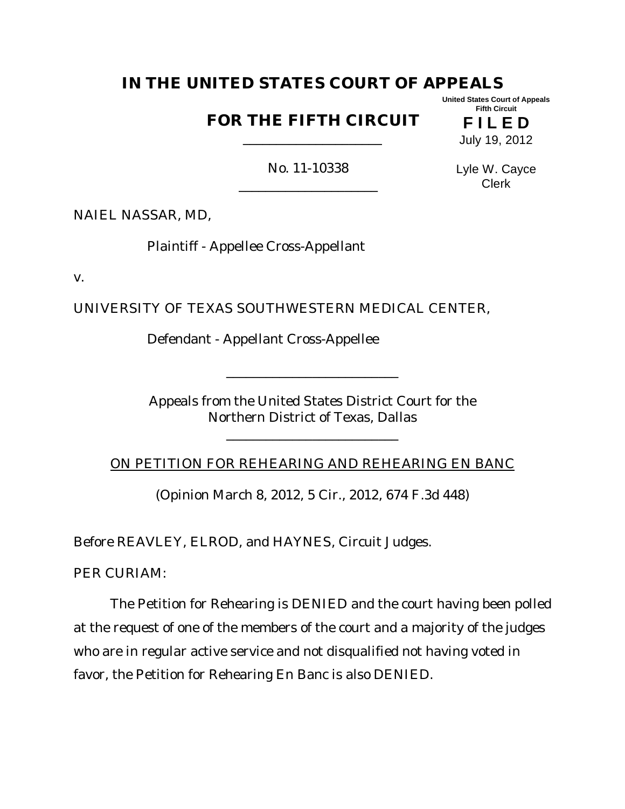# **IN THE UNITED STATES COURT OF APPEALS**

## **FOR THE FIFTH CIRCUIT**  \_\_\_\_\_\_\_\_\_\_\_\_\_\_\_\_\_\_\_\_\_

**F I L E D** July 19, 2012

**United States Court of Appeals Fifth Circuit**

No. 11-10338 \_\_\_\_\_\_\_\_\_\_\_\_\_\_\_\_\_\_\_\_\_ Lyle W. Cayce Clerk

NAIEL NASSAR, MD,

Plaintiff - Appellee Cross-Appellant

v.

UNIVERSITY OF TEXAS SOUTHWESTERN MEDICAL CENTER,

Defendant - Appellant Cross-Appellee

Appeals from the United States District Court for the Northern District of Texas, Dallas

\_\_\_\_\_\_\_\_\_\_\_\_\_\_\_\_\_\_\_\_\_\_\_\_\_\_

\_\_\_\_\_\_\_\_\_\_\_\_\_\_\_\_\_\_\_\_\_\_\_\_\_\_

ON PETITION FOR REHEARING AND REHEARING EN BANC

(Opinion March 8, 2012, 5 Cir., 2012, 674 F.3d 448)

Before REAVLEY, ELROD, and HAYNES, Circuit Judges.

PER CURIAM:

The Petition for Rehearing is DENIED and the court having been polled at the request of one of the members of the court and a majority of the judges who are in regular active service and not disqualified not having voted in favor, the Petition for Rehearing En Banc is also DENIED.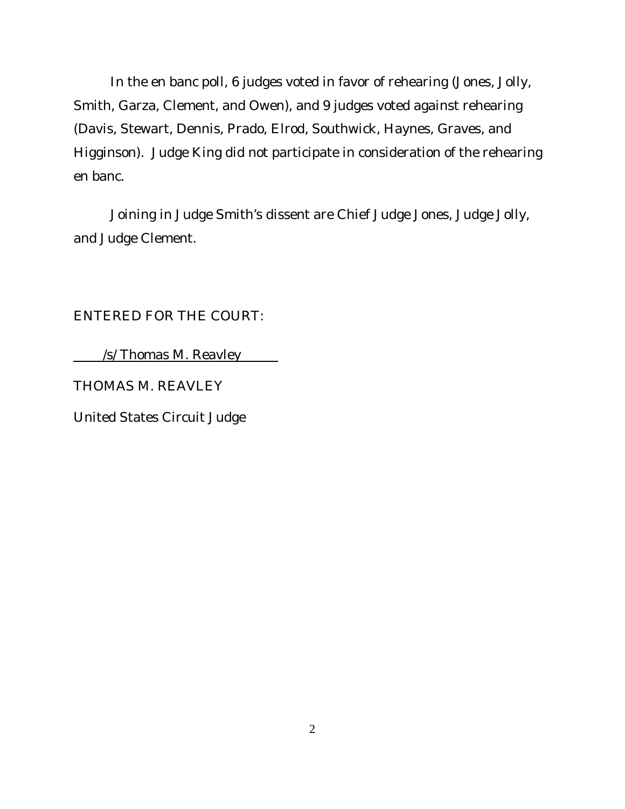In the en banc poll, 6 judges voted in favor of rehearing (Jones, Jolly, Smith, Garza, Clement, and Owen), and 9 judges voted against rehearing (Davis, Stewart, Dennis, Prado, Elrod, Southwick, Haynes, Graves, and Higginson). Judge King did not participate in consideration of the rehearing en banc.

Joining in Judge Smith's dissent are Chief Judge Jones, Judge Jolly, and Judge Clement.

ENTERED FOR THE COURT:

/s/ Thomas M. Reavley

THOMAS M. REAVLEY

United States Circuit Judge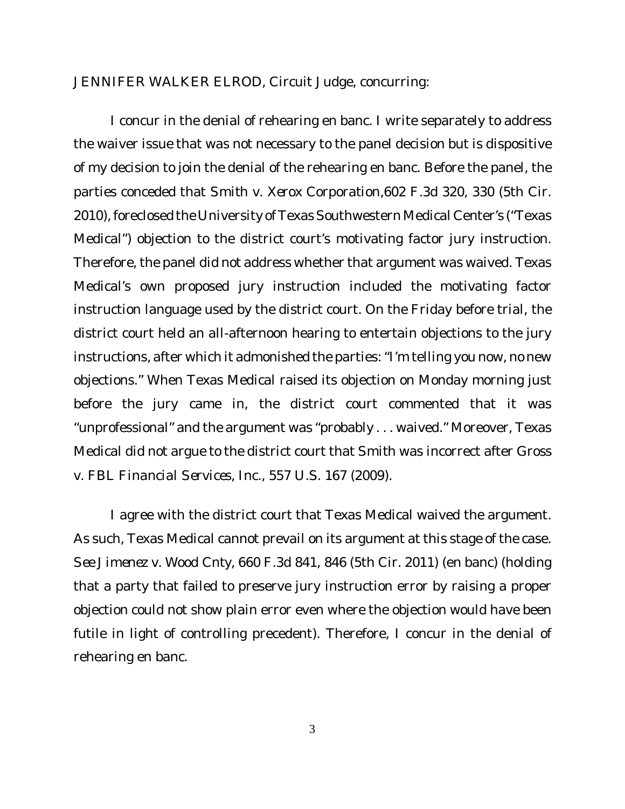JENNIFER WALKER ELROD, Circuit Judge, concurring:

I concur in the denial of rehearing en banc. I write separately to address the waiver issue that was not necessary to the panel decision but is dispositive of my decision to join the denial of the rehearing en banc. Before the panel, the parties conceded that *Smith v. Xerox Corporation*,602 F.3d 320, 330 (5th Cir. 2010), foreclosed the University of Texas Southwestern Medical Center's ("Texas Medical") objection to the district court's motivating factor jury instruction. Therefore, the panel did not address whether that argument was waived. Texas Medical's own proposed jury instruction included the motivating factor instruction language used by the district court. On the Friday before trial, the district court held an all-afternoon hearing to entertain objections to the jury instructions, after which it admonished the parties: "I'm telling you now, no new objections." When Texas Medical raised its objection on Monday morning just before the jury came in, the district court commented that it was "unprofessional" and the argument was "probably . . . waived." Moreover, Texas Medical did not argue to the district court that *Smith* was incorrect after *Gross v. FBL Financial Services, Inc.*, 557 U.S. 167 (2009).

I agree with the district court that Texas Medical waived the argument. As such, Texas Medical cannot prevail on its argument at this stage of the case. *See Jimenez v. Wood Cnty*, 660 F.3d 841, 846 (5th Cir. 2011) (en banc) (holding that a party that failed to preserve jury instruction error by raising a proper objection could not show plain error even where the objection would have been futile in light of controlling precedent). Therefore, I concur in the denial of rehearing en banc.

3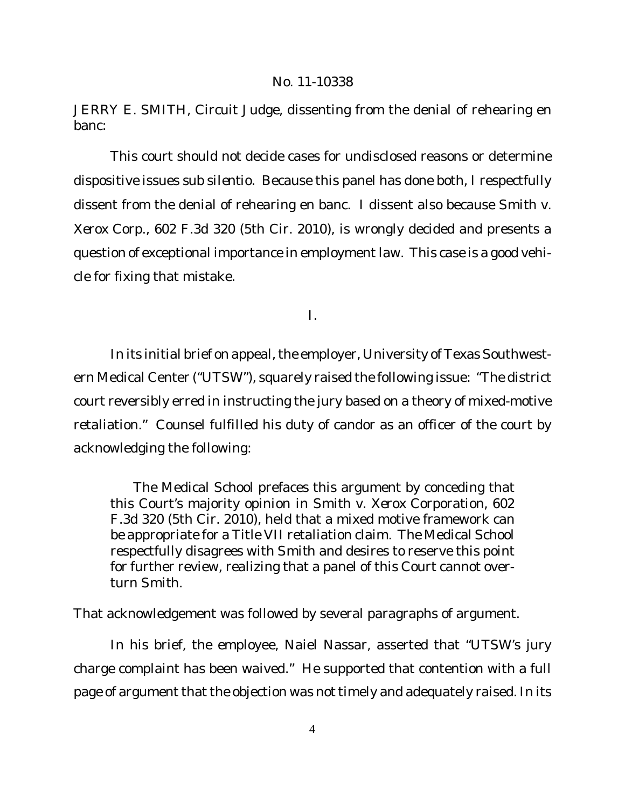JERRY E. SMITH, Circuit Judge, dissenting from the denial of rehearing en banc:

This court should not decide cases for undisclosed reasons or determine dispositive issues *sub silentio*. Because this panel has done both, I respectfully dissent from the denial of rehearing en banc. I dissent also because *Smith v. Xerox Corp.*, 602 F.3d 320 (5th Cir. 2010), is wrongly decided and presents a question of exceptional importance in employment law. This case is a good vehicle for fixing that mistake.

I.

In its initial brief on appeal, the employer, University of Texas Southwestern Medical Center ("UTSW"), squarely raised the following issue: "The district court reversibly erred in instructing the jury based on a theory of mixed-motive retaliation." Counsel fulfilled his duty of candor as an officer of the court by acknowledging the following:

The Medical School prefaces this argument by conceding that this Court's majority opinion in *Smith v. Xerox Corporation*, 602 F.3d 320 (5th Cir. 2010), held that a mixed motive framework can be appropriate for a Title VII retaliation claim. The Medical School respectfully disagrees with *Smith* and desires to reserve this point for further review, realizing that a panel of this Court cannot overturn *Smith*.

That acknowledgement was followed by several paragraphs of argument.

In his brief, the employee, Naiel Nassar, asserted that "UTSW's jury charge complaint has been waived." He supported that contention with a full page of argument that the objection was not timely and adequately raised. In its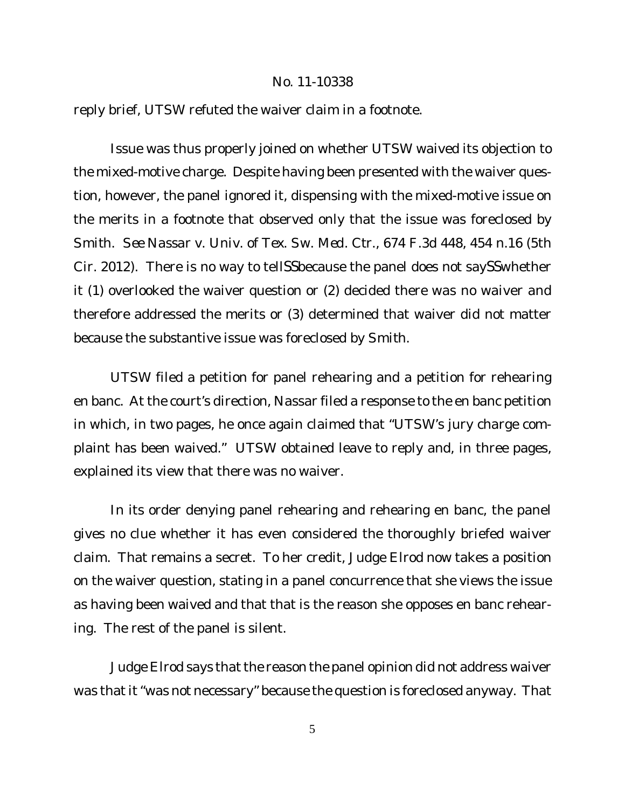#### No. 11-10338

reply brief, UTSW refuted the waiver claim in a footnote.

Issue was thus properly joined on whether UTSW waived its objection to the mixed-motive charge. Despite having been presented with the waiver question, however, the panel ignored it, dispensing with the mixed-motive issue on the merits in a footnote that observed only that the issue was foreclosed by *Smith*. *See Nassar v. Univ. of Tex. Sw. Med. Ctr.*, 674 F.3d 448, 454 n.16 (5th Cir. 2012). There is no way to tellSSbecause the panel does not saySSwhether it (1) overlooked the waiver question or (2) decided there was no waiver and therefore addressed the merits or (3) determined that waiver did not matter because the substantive issue was foreclosed by *Smith*.

UTSW filed a petition for panel rehearing and a petition for rehearing en banc. At the court's direction, Nassar filed a response to the en banc petition in which, in two pages, he once again claimed that "UTSW's jury charge complaint has been waived." UTSW obtained leave to reply and, in three pages, explained its view that there was no waiver.

In its order denying panel rehearing and rehearing en banc, the panel gives no clue whether it has even considered the thoroughly briefed waiver claim. That remains a secret. To her credit, Judge Elrod now takes a position on the waiver question, stating in a panel concurrence that she views the issue as having been waived and that that is the reason she opposes en banc rehearing. The rest of the panel is silent.

Judge Elrod says that the reason the panel opinion did not address waiver was that it "was not necessary" because the question is foreclosed anyway. That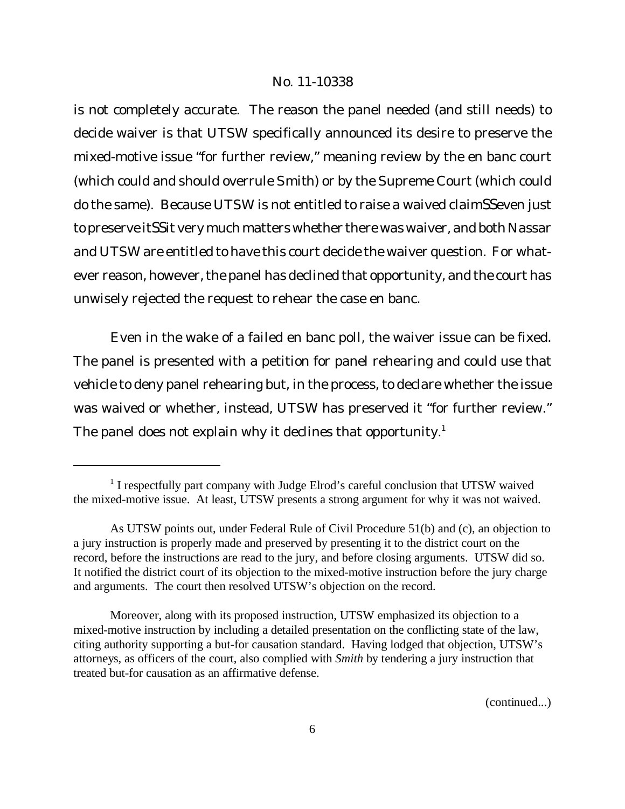### No. 11-10338

is not completely accurate. The reason the panel needed (and still needs) to decide waiver is that UTSW specifically announced its desire to preserve the mixed-motive issue "for further review," meaning review by the en banc court (which could and should overrule *Smith*) or by the Supreme Court (which could do the same). Because UTSW is not entitled to raise a waived claimSSeven just to preserve itSSit very much matters whether there was waiver, and both Nassar and UTSW are entitled to have this court decide the waiver question. For whatever reason, however, the panel has declined that opportunity, and the court has unwisely rejected the request to rehear the case en banc.

Even in the wake of a failed en banc poll, the waiver issue can be fixed. The panel is presented with a petition for panel rehearing and could use that vehicle to deny panel rehearing but, in the process, to declare whether the issue was waived or whether, instead, UTSW has preserved it "for further review." The panel does not explain why it declines that opportunity.<sup>1</sup>

<sup>&</sup>lt;sup>1</sup> I respectfully part company with Judge Elrod's careful conclusion that UTSW waived the mixed-motive issue. At least, UTSW presents a strong argument for why it was not waived.

As UTSW points out, under Federal Rule of Civil Procedure 51(b) and (c), an objection to a jury instruction is properly made and preserved by presenting it to the district court on the record, before the instructions are read to the jury, and before closing arguments. UTSW did so. It notified the district court of its objection to the mixed-motive instruction before the jury charge and arguments. The court then resolved UTSW's objection on the record.

Moreover, along with its proposed instruction, UTSW emphasized its objection to a mixed-motive instruction by including a detailed presentation on the conflicting state of the law, citing authority supporting a but-for causation standard. Having lodged that objection, UTSW's attorneys, as officers of the court, also complied with *Smith* by tendering a jury instruction that treated but-for causation as an affirmative defense.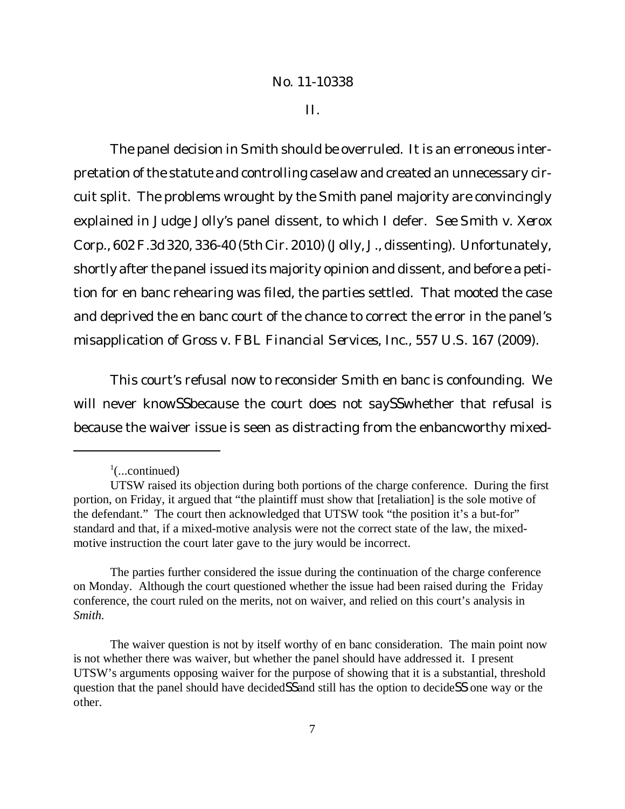II.

The panel decision in *Smith* should be overruled. It is an erroneous interpretation of the statute and controlling caselaw and created an unnecessary circuit split. The problems wrought by the *Smith* panel majority are convincingly explained in Judge Jolly's panel dissent, to which I defer. *See Smith v. Xerox Corp.*, 602F.3d 320, 336-40 (5th Cir. 2010) (Jolly, J., dissenting). Unfortunately, shortly after the panel issued its majority opinion and dissent, and before a petition for en banc rehearing was filed, the parties settled. That mooted the case and deprived the en banc court of the chance to correct the error in the panel's misapplication of *Gross v. FBL Financial Services, Inc.*, 557 U.S. 167 (2009).

This court's refusal now to reconsider *Smith* en banc is confounding. We will never knowSSbecause the court does not saySSwhether that refusal is because the waiver issue is seen as distracting from the enbancworthy mixed-

The parties further considered the issue during the continuation of the charge conference on Monday. Although the court questioned whether the issue had been raised during the Friday conference, the court ruled on the merits, not on waiver, and relied on this court's analysis in *Smith.*

 $\frac{1}{2}$ (...continued)

UTSW raised its objection during both portions of the charge conference. During the first portion, on Friday, it argued that "the plaintiff must show that [retaliation] is the sole motive of the defendant." The court then acknowledged that UTSW took "the position it's a but-for" standard and that, if a mixed-motive analysis were not the correct state of the law, the mixedmotive instruction the court later gave to the jury would be incorrect.

The waiver question is not by itself worthy of en banc consideration. The main point now is not whether there was waiver, but whether the panel should have addressed it. I present UTSW's arguments opposing waiver for the purpose of showing that it is a substantial, threshold question that the panel should have decidedSSand still has the option to decideSS one way or the other.